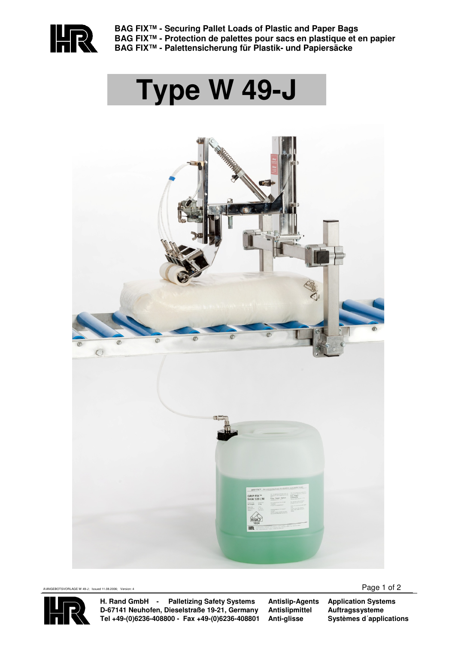

**BAG FIX™ - Securing Pallet Loads of Plastic and Paper Bags BAG FIX™ - Protection de palettes pour sacs en plastique et en papier BAG FIX™ - Palettensicherung für Plastik- und Papiersäcke** 

# **Type W 49-J**





**H. Rand GmbH - Palletizing Safety Systems D-67141 Neuhofen, Dieselstraße 19-21, Germany Tel +49-(0)6236-408800 - Fax +49-(0)6236-408801** **Antislip-Agents Antislipmittel Anti-glisse**

**Application Systems Auftragssysteme Systèmes d´applications**